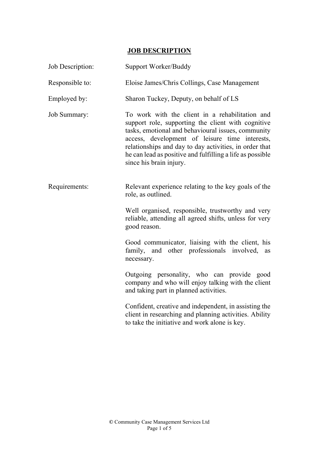## **JOB DESCRIPTION**

| Job Description: | Support Worker/Buddy                                                                                                                                                                                                                                                                                                                                            |
|------------------|-----------------------------------------------------------------------------------------------------------------------------------------------------------------------------------------------------------------------------------------------------------------------------------------------------------------------------------------------------------------|
| Responsible to:  | Eloise James/Chris Collings, Case Management                                                                                                                                                                                                                                                                                                                    |
| Employed by:     | Sharon Tuckey, Deputy, on behalf of LS                                                                                                                                                                                                                                                                                                                          |
| Job Summary:     | To work with the client in a rehabilitation and<br>support role, supporting the client with cognitive<br>tasks, emotional and behavioural issues, community<br>access, development of leisure time interests,<br>relationships and day to day activities, in order that<br>he can lead as positive and fulfilling a life as possible<br>since his brain injury. |
| Requirements:    | Relevant experience relating to the key goals of the<br>role, as outlined.                                                                                                                                                                                                                                                                                      |
|                  | Well organised, responsible, trustworthy and very<br>reliable, attending all agreed shifts, unless for very<br>good reason.                                                                                                                                                                                                                                     |
|                  | Good communicator, liaising with the client, his<br>family, and other professionals involved, as<br>necessary.                                                                                                                                                                                                                                                  |
|                  | Outgoing personality, who can provide good<br>company and who will enjoy talking with the client<br>and taking part in planned activities.                                                                                                                                                                                                                      |
|                  | Confident, creative and independent, in assisting the<br>client in researching and planning activities. Ability<br>to take the initiative and work alone is key.                                                                                                                                                                                                |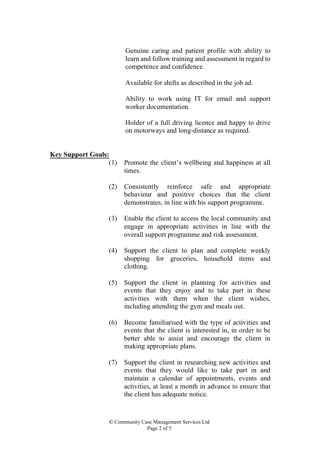Genuine caring and patient profile with ability to learn and follow training and assessment in regard to competence and confidence.

Available for shifts as described in the job ad.

 Ability to work using IT for email and support worker documentation.

 Holder of a full driving licence and happy to drive on motorways and long-distance as required.

## Key Support Goals:

- (1) Promote the client's wellbeing and happiness at all times.
- (2) Consistently reinforce safe and appropriate behaviour and positive choices that the client demonstrates, in line with his support programme.
- (3) Enable the client to access the local community and engage in appropriate activities in line with the overall support programme and risk assessment.
- (4) Support the client to plan and complete weekly shopping for groceries, household items and clothing.
- (5) Support the client in planning for activities and events that they enjoy and to take part in these activities with them when the client wishes, including attending the gym and meals out.
- (6) Become familiarised with the type of activities and events that the client is interested in, in order to be better able to assist and encourage the client in making appropriate plans.
- (7) Support the client in researching new activities and events that they would like to take part in and maintain a calendar of appointments, events and activities, at least a month in advance to ensure that the client has adequate notice.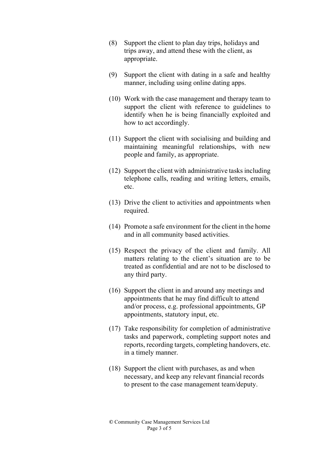- (8) Support the client to plan day trips, holidays and trips away, and attend these with the client, as appropriate.
- (9) Support the client with dating in a safe and healthy manner, including using online dating apps.
- (10) Work with the case management and therapy team to support the client with reference to guidelines to identify when he is being financially exploited and how to act accordingly.
- (11) Support the client with socialising and building and maintaining meaningful relationships, with new people and family, as appropriate.
- (12) Support the client with administrative tasks including telephone calls, reading and writing letters, emails, etc.
- (13) Drive the client to activities and appointments when required.
- (14) Promote a safe environment for the client in the home and in all community based activities.
- (15) Respect the privacy of the client and family. All matters relating to the client's situation are to be treated as confidential and are not to be disclosed to any third party.
- (16) Support the client in and around any meetings and appointments that he may find difficult to attend and/or process, e.g. professional appointments, GP appointments, statutory input, etc.
- (17) Take responsibility for completion of administrative tasks and paperwork, completing support notes and reports, recording targets, completing handovers, etc. in a timely manner.
- (18) Support the client with purchases, as and when necessary, and keep any relevant financial records to present to the case management team/deputy.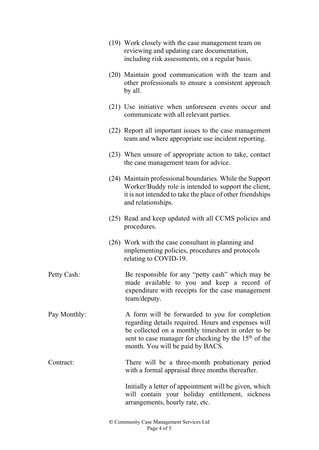|              | (19) Work closely with the case management team on<br>reviewing and updating care documentation,<br>including risk assessments, on a regular basis.                                                                                                                 |
|--------------|---------------------------------------------------------------------------------------------------------------------------------------------------------------------------------------------------------------------------------------------------------------------|
|              | (20) Maintain good communication with the team and<br>other professionals to ensure a consistent approach<br>by all.                                                                                                                                                |
|              | (21) Use initiative when unforeseen events occur and<br>communicate with all relevant parties.                                                                                                                                                                      |
|              | (22) Report all important issues to the case management<br>team and where appropriate use incident reporting.                                                                                                                                                       |
|              | (23) When unsure of appropriate action to take, contact<br>the case management team for advice.                                                                                                                                                                     |
|              | (24) Maintain professional boundaries. While the Support<br>Worker/Buddy role is intended to support the client,<br>it is not intended to take the place of other friendships<br>and relationships.                                                                 |
|              | (25) Read and keep updated with all CCMS policies and<br>procedures.                                                                                                                                                                                                |
|              | (26) Work with the case consultant in planning and<br>implementing policies, procedures and protocols<br>relating to COVID-19.                                                                                                                                      |
| Petty Cash:  | Be responsible for any "petty cash" which may be<br>made available to you and keep a record of<br>expenditure with receipts for the case management<br>team/deputy.                                                                                                 |
| Pay Monthly: | A form will be forwarded to you for completion<br>regarding details required. Hours and expenses will<br>be collected on a monthly timesheet in order to be<br>sent to case manager for checking by the 15 <sup>th</sup> of the<br>month. You will be paid by BACS. |
| Contract:    | There will be a three-month probationary period<br>with a formal appraisal three months thereafter.                                                                                                                                                                 |
|              | Initially a letter of appointment will be given, which<br>will contain your holiday entitlement, sickness<br>arrangements, hourly rate, etc.                                                                                                                        |